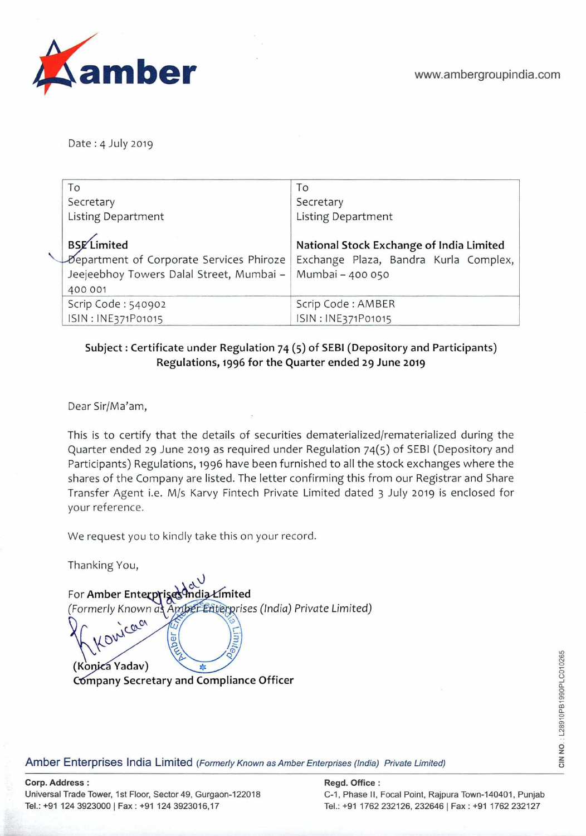

Date : 4 July 2019

| To                                                                                                                    | Τo                                                                                                    |
|-----------------------------------------------------------------------------------------------------------------------|-------------------------------------------------------------------------------------------------------|
| Secretary                                                                                                             | Secretary                                                                                             |
| <b>Listing Department</b>                                                                                             | <b>Listing Department</b>                                                                             |
| <b>BSE</b> Limited<br>Department of Corporate Services Phiroze<br>Jeejeebhoy Towers Dalal Street, Mumbai -<br>400 001 | National Stock Exchange of India Limited<br>Exchange Plaza, Bandra Kurla Complex,<br>Mumbai - 400 050 |
| Scrip Code: 540902                                                                                                    | Scrip Code: AMBER                                                                                     |
| ISIN: INE371P01015                                                                                                    | ISIN: INE371P01015                                                                                    |

## **Subject: Certificate under Regulation** 74 (5) **of SEBI (Depository and Participants) Regulations, 1996 for the Quarter ended 29 June 2019**

Dear Sir/Ma'am,

This is to certify that the details of securities dematerialized/rematerialized during the Quarter ended 29 June 2019 as required under Regulation 74(5) of SEBI (Depository and Participants) Regulations, 1996 have been furnished to all the stock exchanges where the shares of the Company are listed. The letter confirming this from our Registrar and Share Transfer Agent i.e. M/s Karvy Fintech Private Limited dated 3 July 2019 is enclosed for your reference.

We request you to kindly take this on your record.

Thanking You,

| For Amber Enterprises India Limited<br>(Formerly Known as Amber Enterprises (India) Private Limited) |
|------------------------------------------------------------------------------------------------------|
| - Konicaa<br>(Konica Yadav)<br>Company Secretary and Compliance Officer                              |

**Amber Enterprises India Limited** (Formerly Known as Amber Enterprises (India) Private Limited)

**Corp. Address: Regd. Office: Regd. Office: Regd. Office: Regd. Office: Regd. Office: Regd. Office: Regd.** 05

Universal Trade Tower, 1st Floor, Sector 49, Gurgaon-122018 C-1, Phase II, Focal Point, Rajpura Town-140401, Punjab Tel.: +91 124 3923000 | Fax: +91 124 3923016,17 Tel.: +91 1762 232126, 232646 | Fax: +91 1762 232127